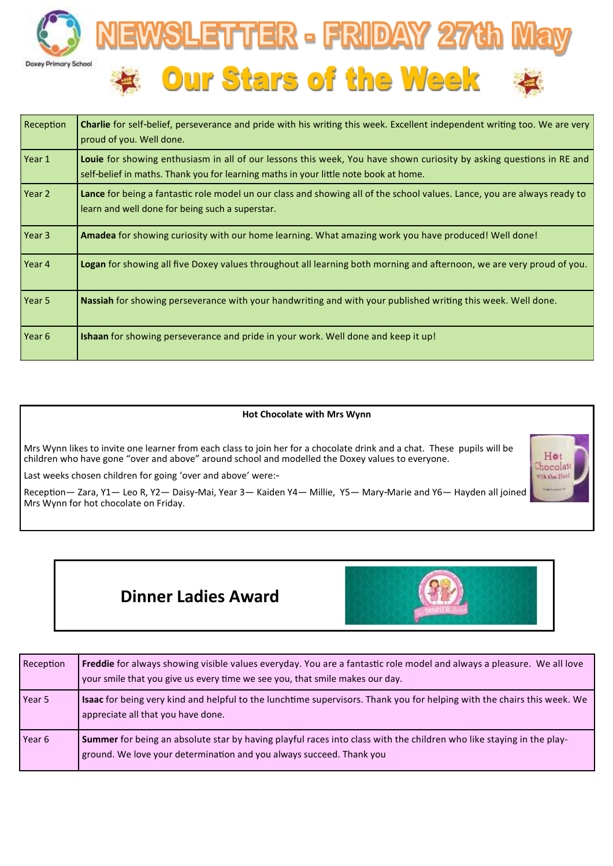



| Reception         | <b>Charlie</b> for self-belief, perseverance and pride with his writing this week. Excellent independent writing too. We are very<br>proud of you. Well done.                                                |
|-------------------|--------------------------------------------------------------------------------------------------------------------------------------------------------------------------------------------------------------|
| Year 1            | Louie for showing enthusiasm in all of our lessons this week, You have shown curiosity by asking questions in RE and<br>self-belief in maths. Thank you for learning maths in your little note book at home. |
| Year 2            | Lance for being a fantastic role model un our class and showing all of the school values. Lance, you are always ready to<br>learn and well done for being such a superstar.                                  |
| Year 3            | Amadea for showing curiosity with our home learning. What amazing work you have produced! Well done!                                                                                                         |
| Year 4            | Logan for showing all five Doxey values throughout all learning both morning and afternoon, we are very proud of you.                                                                                        |
| Year 5            | Nassiah for showing perseverance with your handwriting and with your published writing this week. Well done.                                                                                                 |
| Year <sub>6</sub> | <b>Ishaan</b> for showing perseverance and pride in your work. Well done and keep it up!                                                                                                                     |

#### **Hot Chocolate with Mrs Wynn**

Mrs Wynn likes to invite one learner from each class to join her for a chocolate drink and a chat. These pupils will be children who have gone "over and above" around school and modelled the Doxey values to everyone.

Last weeks chosen children for going 'over and above' were:-

Reception— Zara, Y1— Leo R, Y2— Daisy-Mai, Year 3— Kaiden Y4— Millie, Y5— Mary-Marie and Y6— Hayden all joined Mrs Wynn for hot chocolate on Friday.



# **Dinner Ladies Award**



| Reception | Freddie for always showing visible values everyday. You are a fantastic role model and always a pleasure. We all love<br>your smile that you give us every time we see you, that smile makes our day. |
|-----------|-------------------------------------------------------------------------------------------------------------------------------------------------------------------------------------------------------|
| Year 5    | Isaac for being very kind and helpful to the lunchtime supervisors. Thank you for helping with the chairs this week. We<br>appreciate all that you have done.                                         |
| Year 6    | Summer for being an absolute star by having playful races into class with the children who like staying in the play-<br>ground. We love your determination and you always succeed. Thank you          |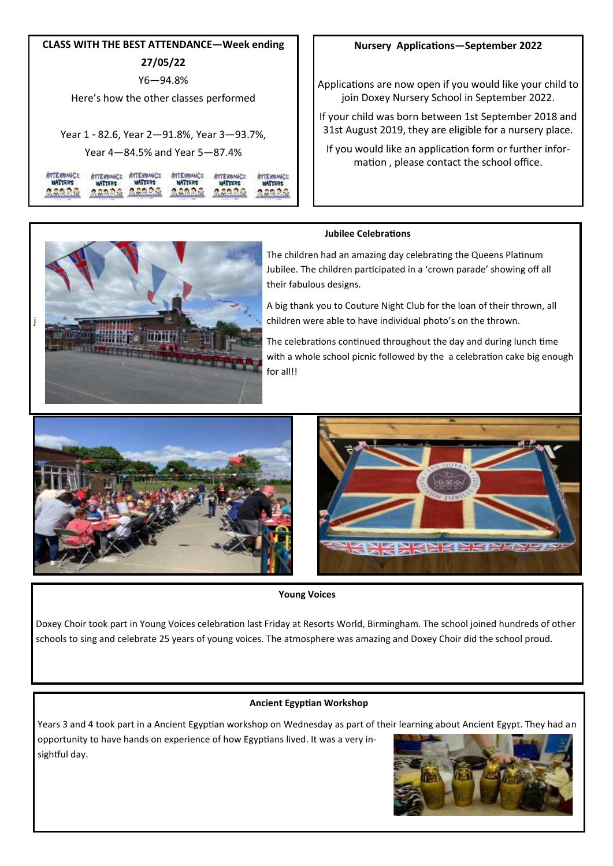| <b>CLASS WITH THE BEST ATTENDANCE—Week ending</b> |  |  |  |  |  |  |
|---------------------------------------------------|--|--|--|--|--|--|
| 27/05/22                                          |  |  |  |  |  |  |
| Y6—94.8%                                          |  |  |  |  |  |  |
| Here's how the other classes performed            |  |  |  |  |  |  |
|                                                   |  |  |  |  |  |  |
| Year 1 - 82.6, Year 2–91.8%, Year 3–93.7%,        |  |  |  |  |  |  |
| Year 4—84.5% and Year 5—87.4%                     |  |  |  |  |  |  |
| гчина к                                           |  |  |  |  |  |  |

### **Nursery Applications—September 2022**

Applications are now open if you would like your child to join Doxey Nursery School in September 2022.

If your child was born between 1st September 2018 and 31st August 2019, they are eligible for a nursery place.

If you would like an application form or further information , please contact the school office.

#### **Jubilee Celebrations**

身合数分の

The children had an amazing day celebrating the Queens Platinum Jubilee. The children participated in a 'crown parade' showing off all their fabulous designs.

A big thank you to Couture Night Club for the loan of their thrown, all children were able to have individual photo's on the thrown.

The celebrations continued throughout the day and during lunch time with a whole school picnic followed by the a celebration cake big enough for all!!





**Young Voices**

Doxey Choir took part in Young Voices celebration last Friday at Resorts World, Birmingham. The school joined hundreds of other schools to sing and celebrate 25 years of young voices. The atmosphere was amazing and Doxey Choir did the school proud.

#### **Ancient Egyptian Workshop**

Years 3 and 4 took part in a Ancient Egyptian workshop on Wednesday as part of their learning about Ancient Egypt. They had an opportunity to have hands on experience of how Egyptians lived. It was a very insightful day.





**ASARA ASARA ASARA ASARA ASARA**